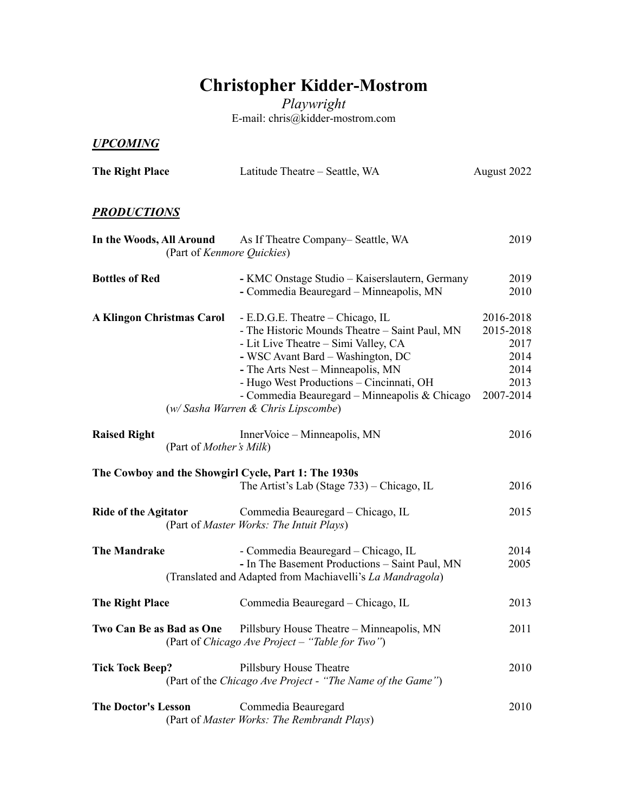## **Christopher Kidder-Mostrom**

*Playwright* E-mail: chris@kidder-mostrom.com

## *UPCOMING*

| The Right Place                                        | Latitude Theatre - Seattle, WA                                                                                                                                                                                                                                                                                                           | August 2022                                                         |
|--------------------------------------------------------|------------------------------------------------------------------------------------------------------------------------------------------------------------------------------------------------------------------------------------------------------------------------------------------------------------------------------------------|---------------------------------------------------------------------|
| <b>PRODUCTIONS</b>                                     |                                                                                                                                                                                                                                                                                                                                          |                                                                     |
| In the Woods, All Around                               | As If Theatre Company– Seattle, WA<br>(Part of Kenmore Quickies)                                                                                                                                                                                                                                                                         | 2019                                                                |
| <b>Bottles of Red</b>                                  | - KMC Onstage Studio – Kaiserslautern, Germany<br>- Commedia Beauregard - Minneapolis, MN                                                                                                                                                                                                                                                | 2019<br>2010                                                        |
| <b>A Klingon Christmas Carol</b>                       | - E.D.G.E. Theatre – Chicago, IL<br>- The Historic Mounds Theatre - Saint Paul, MN<br>- Lit Live Theatre - Simi Valley, CA<br>- WSC Avant Bard - Washington, DC<br>- The Arts Nest - Minneapolis, MN<br>- Hugo West Productions - Cincinnati, OH<br>- Commedia Beauregard – Minneapolis & Chicago<br>(w/ Sasha Warren & Chris Lipscombe) | 2016-2018<br>2015-2018<br>2017<br>2014<br>2014<br>2013<br>2007-2014 |
| <b>Raised Right</b><br>(Part of <i>Mother's Milk</i> ) | InnerVoice – Minneapolis, MN                                                                                                                                                                                                                                                                                                             | 2016                                                                |
|                                                        | The Cowboy and the Showgirl Cycle, Part 1: The 1930s<br>The Artist's Lab (Stage 733) – Chicago, IL                                                                                                                                                                                                                                       | 2016                                                                |
| <b>Ride of the Agitator</b>                            | Commedia Beauregard – Chicago, IL<br>(Part of Master Works: The Intuit Plays)                                                                                                                                                                                                                                                            | 2015                                                                |
| <b>The Mandrake</b>                                    | - Commedia Beauregard – Chicago, IL<br>- In The Basement Productions - Saint Paul, MN<br>(Translated and Adapted from Machiavelli's La Mandragola)                                                                                                                                                                                       | 2014<br>2005                                                        |
| The Right Place                                        | Commedia Beauregard - Chicago, IL                                                                                                                                                                                                                                                                                                        | 2013                                                                |
| Two Can Be as Bad as One                               | Pillsbury House Theatre – Minneapolis, MN<br>(Part of Chicago Ave Project – "Table for Two")                                                                                                                                                                                                                                             | 2011                                                                |
| <b>Tick Tock Beep?</b>                                 | Pillsbury House Theatre<br>(Part of the Chicago Ave Project - "The Name of the Game")                                                                                                                                                                                                                                                    | 2010                                                                |
| <b>The Doctor's Lesson</b>                             | Commedia Beauregard<br>(Part of Master Works: The Rembrandt Plays)                                                                                                                                                                                                                                                                       | 2010                                                                |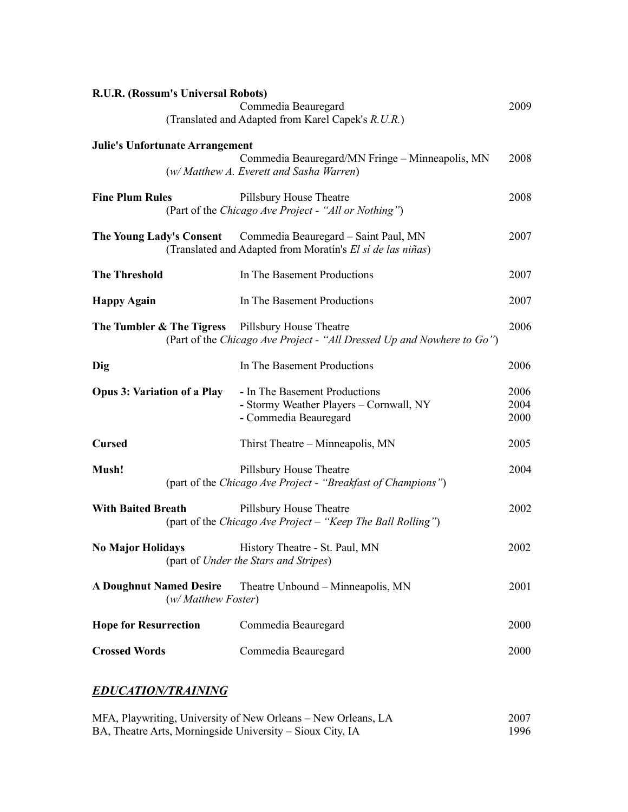| R.U.R. (Rossum's Universal Robots)                                                                                                     |                                                               |
|----------------------------------------------------------------------------------------------------------------------------------------|---------------------------------------------------------------|
| (Translated and Adapted from Karel Capek's R.U.R.)                                                                                     | 2009                                                          |
|                                                                                                                                        |                                                               |
| Commedia Beauregard/MN Fringe - Minneapolis, MN<br>(w/ Matthew A. Everett and Sasha Warren)                                            | 2008                                                          |
| Pillsbury House Theatre<br>(Part of the Chicago Ave Project - "All or Nothing")                                                        | 2008                                                          |
| The Young Lady's Consent Commedia Beauregard – Saint Paul, MN<br>(Translated and Adapted from Moratín's El sí de las niñas)            | 2007                                                          |
| In The Basement Productions                                                                                                            | 2007                                                          |
| In The Basement Productions                                                                                                            | 2007                                                          |
| <b>The Tumbler &amp; The Tigress</b> Pillsbury House Theatre<br>(Part of the Chicago Ave Project - "All Dressed Up and Nowhere to Go") | 2006                                                          |
| In The Basement Productions                                                                                                            | 2006                                                          |
| - In The Basement Productions<br>- Stormy Weather Players - Cornwall, NY<br>- Commedia Beauregard                                      | 2006<br>2004<br>2000                                          |
| Thirst Theatre – Minneapolis, MN                                                                                                       | 2005                                                          |
| Pillsbury House Theatre<br>(part of the Chicago Ave Project - "Breakfast of Champions")                                                | 2004                                                          |
| Pillsbury House Theatre<br>(part of the Chicago Ave Project – "Keep The Ball Rolling")                                                 | 2002                                                          |
| No Major Holidays History Theatre - St. Paul, MN<br>(part of Under the Stars and Stripes)                                              | 2002                                                          |
| Theatre Unbound – Minneapolis, MN<br>(w/Matthew Foster)                                                                                | 2001                                                          |
| Commedia Beauregard                                                                                                                    | 2000                                                          |
| Commedia Beauregard                                                                                                                    | 2000                                                          |
|                                                                                                                                        | Commedia Beauregard<br><b>Julie's Unfortunate Arrangement</b> |

## *EDUCATION/TRAINING*

| MFA, Playwriting, University of New Orleans - New Orleans, LA | 2007 |
|---------------------------------------------------------------|------|
| BA, Theatre Arts, Morningside University – Sioux City, IA     | 1996 |